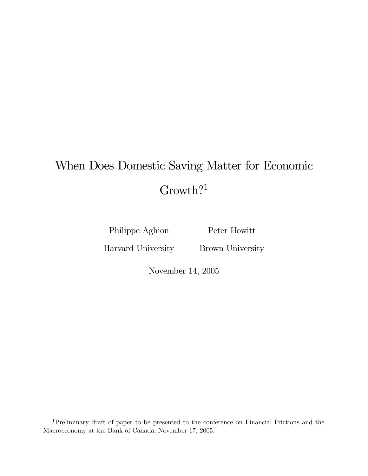# When Does Domestic Saving Matter for Economic Growth?<sup>1</sup>

Philippe Aghion

Peter Howitt

Harvard University

Brown University

November 14, 2005

1Preliminary draft of paper to be presented to the conference on Financial Frictions and the Macroeconomy at the Bank of Canada, November 17, 2005.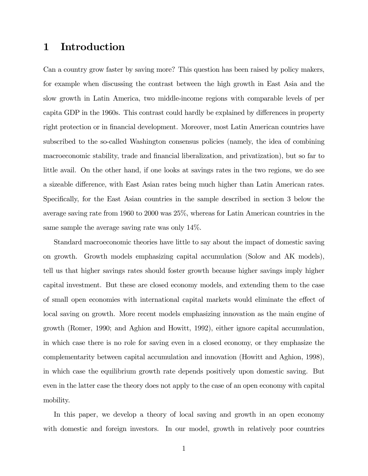## 1 Introduction

Can a country grow faster by saving more? This question has been raised by policy makers, for example when discussing the contrast between the high growth in East Asia and the slow growth in Latin America, two middle-income regions with comparable levels of per capita GDP in the 1960s. This contrast could hardly be explained by differences in property right protection or in financial development. Moreover, most Latin American countries have subscribed to the so-called Washington consensus policies (namely, the idea of combining macroeconomic stability, trade and financial liberalization, and privatization), but so far to little avail. On the other hand, if one looks at savings rates in the two regions, we do see a sizeable difference, with East Asian rates being much higher than Latin American rates. Specifically, for the East Asian countries in the sample described in section 3 below the average saving rate from 1960 to 2000 was 25%, whereas for Latin American countries in the same sample the average saving rate was only 14%.

Standard macroeconomic theories have little to say about the impact of domestic saving on growth. Growth models emphasizing capital accumulation (Solow and AK models), tell us that higher savings rates should foster growth because higher savings imply higher capital investment. But these are closed economy models, and extending them to the case of small open economies with international capital markets would eliminate the effect of local saving on growth. More recent models emphasizing innovation as the main engine of growth (Romer, 1990; and Aghion and Howitt, 1992), either ignore capital accumulation, in which case there is no role for saving even in a closed economy, or they emphasize the complementarity between capital accumulation and innovation (Howitt and Aghion, 1998), in which case the equilibrium growth rate depends positively upon domestic saving. But even in the latter case the theory does not apply to the case of an open economy with capital mobility.

In this paper, we develop a theory of local saving and growth in an open economy with domestic and foreign investors. In our model, growth in relatively poor countries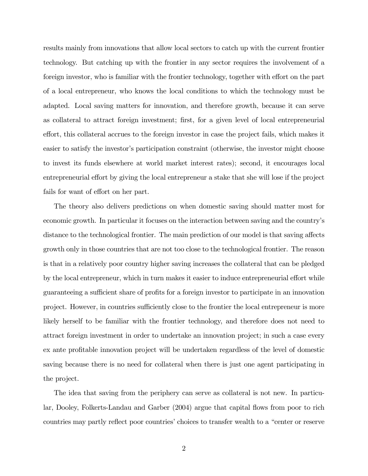results mainly from innovations that allow local sectors to catch up with the current frontier technology. But catching up with the frontier in any sector requires the involvement of a foreign investor, who is familiar with the frontier technology, together with effort on the part of a local entrepreneur, who knows the local conditions to which the technology must be adapted. Local saving matters for innovation, and therefore growth, because it can serve as collateral to attract foreign investment; first, for a given level of local entrepreneurial effort, this collateral accrues to the foreign investor in case the project fails, which makes it easier to satisfy the investor's participation constraint (otherwise, the investor might choose to invest its funds elsewhere at world market interest rates); second, it encourages local entrepreneurial effort by giving the local entrepreneur a stake that she will lose if the project fails for want of effort on her part.

The theory also delivers predictions on when domestic saving should matter most for economic growth. In particular it focuses on the interaction between saving and the country's distance to the technological frontier. The main prediction of our model is that saving affects growth only in those countries that are not too close to the technological frontier. The reason is that in a relatively poor country higher saving increases the collateral that can be pledged by the local entrepreneur, which in turn makes it easier to induce entrepreneurial effort while guaranteeing a sufficient share of profits for a foreign investor to participate in an innovation project. However, in countries sufficiently close to the frontier the local entrepreneur is more likely herself to be familiar with the frontier technology, and therefore does not need to attract foreign investment in order to undertake an innovation project; in such a case every ex ante profitable innovation project will be undertaken regardless of the level of domestic saving because there is no need for collateral when there is just one agent participating in the project.

The idea that saving from the periphery can serve as collateral is not new. In particular, Dooley, Folkerts-Landau and Garber (2004) argue that capital flows from poor to rich countries may partly reflect poor countries' choices to transfer wealth to a "center or reserve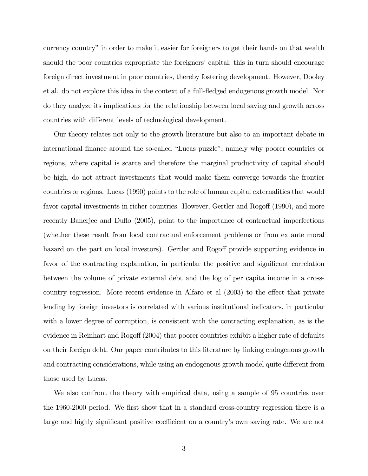currency country" in order to make it easier for foreigners to get their hands on that wealth should the poor countries expropriate the foreigners' capital; this in turn should encourage foreign direct investment in poor countries, thereby fostering development. However, Dooley et al. do not explore this idea in the context of a full-fledged endogenous growth model. Nor do they analyze its implications for the relationship between local saving and growth across countries with different levels of technological development.

Our theory relates not only to the growth literature but also to an important debate in international finance around the so-called "Lucas puzzle", namely why poorer countries or regions, where capital is scarce and therefore the marginal productivity of capital should be high, do not attract investments that would make them converge towards the frontier countries or regions. Lucas (1990) points to the role of human capital externalities that would favor capital investments in richer countries. However, Gertler and Rogoff (1990), and more recently Banerjee and Duflo (2005), point to the importance of contractual imperfections (whether these result from local contractual enforcement problems or from ex ante moral hazard on the part on local investors). Gertler and Rogoff provide supporting evidence in favor of the contracting explanation, in particular the positive and significant correlation between the volume of private external debt and the log of per capita income in a crosscountry regression. More recent evidence in Alfaro et al (2003) to the effect that private lending by foreign investors is correlated with various institutional indicators, in particular with a lower degree of corruption, is consistent with the contracting explanation, as is the evidence in Reinhart and Rogoff (2004) that poorer countries exhibit a higher rate of defaults on their foreign debt. Our paper contributes to this literature by linking endogenous growth and contracting considerations, while using an endogenous growth model quite different from those used by Lucas.

We also confront the theory with empirical data, using a sample of 95 countries over the 1960-2000 period. We first show that in a standard cross-country regression there is a large and highly significant positive coefficient on a country's own saving rate. We are not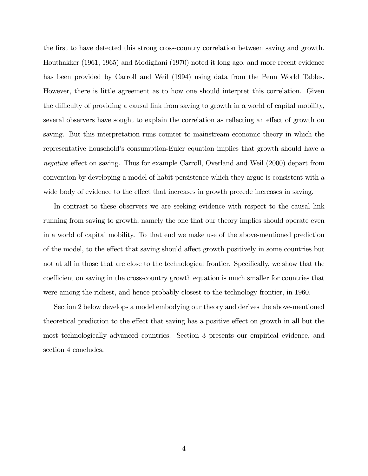the first to have detected this strong cross-country correlation between saving and growth. Houthakker (1961, 1965) and Modigliani (1970) noted it long ago, and more recent evidence has been provided by Carroll and Weil (1994) using data from the Penn World Tables. However, there is little agreement as to how one should interpret this correlation. Given the difficulty of providing a causal link from saving to growth in a world of capital mobility, several observers have sought to explain the correlation as reflecting an effect of growth on saving. But this interpretation runs counter to mainstream economic theory in which the representative household's consumption-Euler equation implies that growth should have a negative effect on saving. Thus for example Carroll, Overland and Weil (2000) depart from convention by developing a model of habit persistence which they argue is consistent with a wide body of evidence to the effect that increases in growth precede increases in saving.

In contrast to these observers we are seeking evidence with respect to the causal link running from saving to growth, namely the one that our theory implies should operate even in a world of capital mobility. To that end we make use of the above-mentioned prediction of the model, to the effect that saving should affect growth positively in some countries but not at all in those that are close to the technological frontier. Specifically, we show that the coefficient on saving in the cross-country growth equation is much smaller for countries that were among the richest, and hence probably closest to the technology frontier, in 1960.

Section 2 below develops a model embodying our theory and derives the above-mentioned theoretical prediction to the effect that saving has a positive effect on growth in all but the most technologically advanced countries. Section 3 presents our empirical evidence, and section 4 concludes.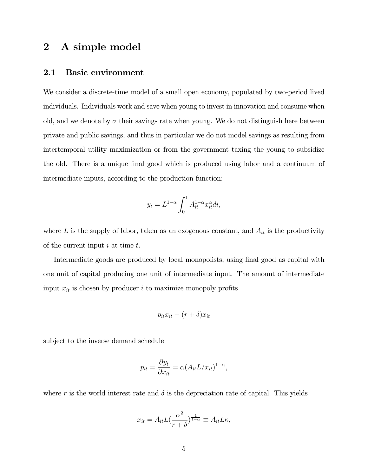## 2 A simple model

#### 2.1 Basic environment

We consider a discrete-time model of a small open economy, populated by two-period lived individuals. Individuals work and save when young to invest in innovation and consume when old, and we denote by  $\sigma$  their savings rate when young. We do not distinguish here between private and public savings, and thus in particular we do not model savings as resulting from intertemporal utility maximization or from the government taxing the young to subsidize the old. There is a unique final good which is produced using labor and a continuum of intermediate inputs, according to the production function:

$$
y_t = L^{1-\alpha} \int_0^1 A_{it}^{1-\alpha} x_{it}^{\alpha} di,
$$

where  $L$  is the supply of labor, taken as an exogenous constant, and  $A_{it}$  is the productivity of the current input  $i$  at time  $t$ .

Intermediate goods are produced by local monopolists, using final good as capital with one unit of capital producing one unit of intermediate input. The amount of intermediate input  $x_{it}$  is chosen by producer i to maximize monopoly profits

$$
p_{it}x_{it}-(r+\delta)x_{it}
$$

subject to the inverse demand schedule

$$
p_{it} = \frac{\partial y_t}{\partial x_{it}} = \alpha (A_{it} L / x_{it})^{1-\alpha},
$$

where r is the world interest rate and  $\delta$  is the depreciation rate of capital. This yields

$$
x_{it} = A_{it} L \left(\frac{\alpha^2}{r+\delta}\right)^{\frac{1}{1-\alpha}} \equiv A_{it} L \kappa,
$$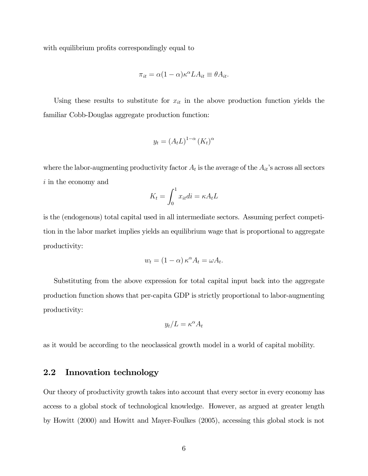with equilibrium profits correspondingly equal to

$$
\pi_{it} = \alpha (1 - \alpha) \kappa^{\alpha} L A_{it} \equiv \theta A_{it}.
$$

Using these results to substitute for  $x_{it}$  in the above production function yields the familiar Cobb-Douglas aggregate production function:

$$
y_t = (A_t L)^{1-\alpha} (K_t)^{\alpha}
$$

where the labor-augmenting productivity factor  $A_t$  is the average of the  $A_{it}$ 's across all sectors i in the economy and

$$
K_t = \int_0^1 x_{it} di = \kappa A_t L
$$

is the (endogenous) total capital used in all intermediate sectors. Assuming perfect competition in the labor market implies yields an equilibrium wage that is proportional to aggregate productivity:

$$
w_t = (1 - \alpha) \kappa^{\alpha} A_t = \omega A_t.
$$

Substituting from the above expression for total capital input back into the aggregate production function shows that per-capita GDP is strictly proportional to labor-augmenting productivity:

$$
y_t/L = \kappa^{\alpha} A_t
$$

as it would be according to the neoclassical growth model in a world of capital mobility.

#### 2.2 Innovation technology

Our theory of productivity growth takes into account that every sector in every economy has access to a global stock of technological knowledge. However, as argued at greater length by Howitt (2000) and Howitt and Mayer-Foulkes (2005), accessing this global stock is not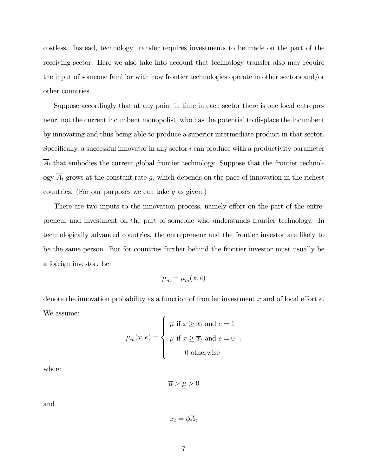costless. Instead, technology transfer requires investments to be made on the part of the receiving sector. Here we also take into account that technology transfer also may require the input of someone familiar with how frontier technologies operate in other sectors and/or other countries.

Suppose accordingly that at any point in time in each sector there is one local entrepreneur, not the current incumbent monopolist, who has the potential to displace the incumbent by innovating and thus being able to produce a superior intermediate product in that sector. Specifically, a successful innovator in any sector  $i$  can produce with a productivity parameter  $\overline{A}_t$  that embodies the current global frontier technology. Suppose that the frontier technology  $\overline{A}_t$  grows at the constant rate g, which depends on the pace of innovation in the richest countries. (For our purposes we can take  $g$  as given.)

There are two inputs to the innovation process, namely effort on the part of the entrepreneur and investment on the part of someone who understands frontier technology. In technologically advanced countries, the entrepreneur and the frontier investor are likely to be the same person. But for countries further behind the frontier investor must usually be a foreign investor. Let

$$
\mu_m = \mu_m(x, e)
$$

denote the innovation probability as a function of frontier investment  $x$  and of local effort  $e$ . We assume:  $\epsilon$ 

$$
\mu_m(x, e) = \begin{cases} \overline{\mu} & \text{if } x \geq \overline{x}_t \text{ and } e = 1 \\ \underline{\mu} & \text{if } x \geq \overline{x}_t \text{ and } e = 0 \\ 0 & \text{otherwise} \end{cases}
$$

where

 $\overline{\mu} > \underline{\mu} > 0$ 

and

$$
\overline{x}_t = \phi A_t
$$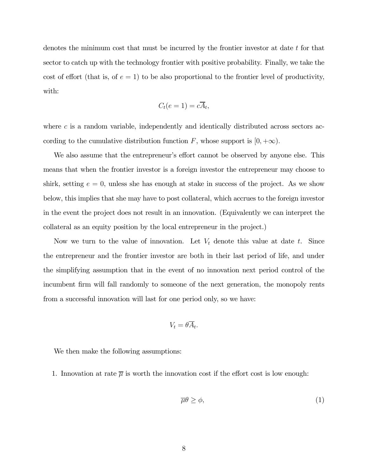denotes the minimum cost that must be incurred by the frontier investor at date  $t$  for that sector to catch up with the technology frontier with positive probability. Finally, we take the cost of effort (that is, of  $e = 1$ ) to be also proportional to the frontier level of productivity, with:

$$
C_t(e=1) = c\overline{A}_t,
$$

where  $c$  is a random variable, independently and identically distributed across sectors according to the cumulative distribution function F, whose support is  $[0, +\infty)$ .

We also assume that the entrepreneur's effort cannot be observed by anyone else. This means that when the frontier investor is a foreign investor the entrepreneur may choose to shirk, setting  $e = 0$ , unless she has enough at stake in success of the project. As we show below, this implies that she may have to post collateral, which accrues to the foreign investor in the event the project does not result in an innovation. (Equivalently we can interpret the collateral as an equity position by the local entrepreneur in the project.)

Now we turn to the value of innovation. Let  $V_t$  denote this value at date t. Since the entrepreneur and the frontier investor are both in their last period of life, and under the simplifying assumption that in the event of no innovation next period control of the incumbent firm will fall randomly to someone of the next generation, the monopoly rents from a successful innovation will last for one period only, so we have:

$$
V_t = \theta \overline{A}_t.
$$

We then make the following assumptions:

1. Innovation at rate  $\overline{\mu}$  is worth the innovation cost if the effort cost is low enough:

$$
\overline{\mu}\theta \ge \phi,\tag{1}
$$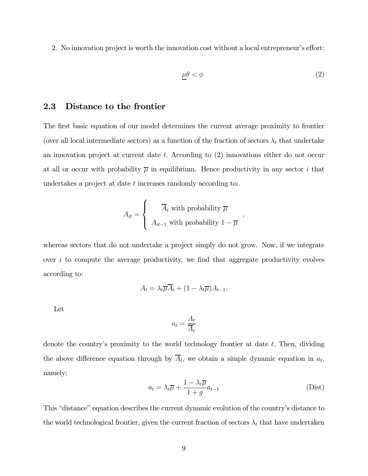2. No innovation project is worth the innovation cost without a local entrepreneur's effort:

$$
\mu \theta < \phi \tag{2}
$$

,

#### 2.3 Distance to the frontier

The first basic equation of our model determines the current average proximity to frontier (over all local intermediate sectors) as a function of the fraction of sectors  $\lambda_t$  that undertake an innovation project at current date t. According to (2) innovations either do not occur at all or occur with probability  $\bar{\mu}$  in equilibrium. Hence productivity in any sector i that undertakes a project at date t increases randomly according to:

$$
A_{it} = \begin{cases} \overline{A}_t \text{ with probability } \overline{\mu} \\ A_{it-1} \text{ with probability } 1 - \overline{\mu} \end{cases}
$$

whereas sectors that do not undertake a project simply do not grow. Now, if we integrate over  $i$  to compute the average productivity, we find that aggregate productivity evolves according to:

$$
A_t = \lambda_t \overline{\mu} \overline{A}_t + (1 - \lambda_t \overline{\mu}) A_{t-1}.
$$

Let

$$
a_t = \frac{A_t}{\overline{A}_t}
$$

denote the country's proximity to the world technology frontier at date  $t$ . Then, dividing the above difference equation through by  $\overline{A}_t$ , we obtain a simple dynamic equation in  $a_t$ , namely:

$$
a_t = \lambda_t \overline{\mu} + \frac{1 - \lambda_t \overline{\mu}}{1 + g} a_{t-1}
$$
 (Dist)

This "distance" equation describes the current dynamic evolution of the country's distance to the world technological frontier, given the current fraction of sectors  $\lambda_t$  that have undertaken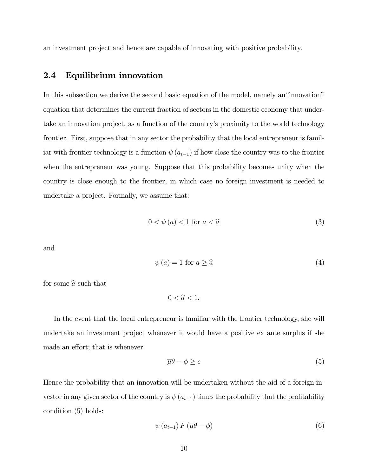an investment project and hence are capable of innovating with positive probability.

#### 2.4 Equilibrium innovation

In this subsection we derive the second basic equation of the model, namely an"innovation" equation that determines the current fraction of sectors in the domestic economy that undertake an innovation project, as a function of the country's proximity to the world technology frontier. First, suppose that in any sector the probability that the local entrepreneur is familiar with frontier technology is a function  $\psi(a_{t-1})$  if how close the country was to the frontier when the entrepreneur was young. Suppose that this probability becomes unity when the country is close enough to the frontier, in which case no foreign investment is needed to undertake a project. Formally, we assume that:

$$
0 < \psi(a) < 1 \text{ for } a < \hat{a} \tag{3}
$$

and

$$
\psi(a) = 1 \text{ for } a \ge \widehat{a} \tag{4}
$$

for some  $\widehat{a}$  such that

 $0 < \hat{a} < 1$ .

In the event that the local entrepreneur is familiar with the frontier technology, she will undertake an investment project whenever it would have a positive ex ante surplus if she made an effort; that is whenever

$$
\overline{\mu}\theta - \phi \ge c \tag{5}
$$

Hence the probability that an innovation will be undertaken without the aid of a foreign investor in any given sector of the country is  $\psi(a_{t-1})$  times the probability that the profitability condition (5) holds:

$$
\psi\left(a_{t-1}\right)F\left(\overline{\mu}\theta-\phi\right) \tag{6}
$$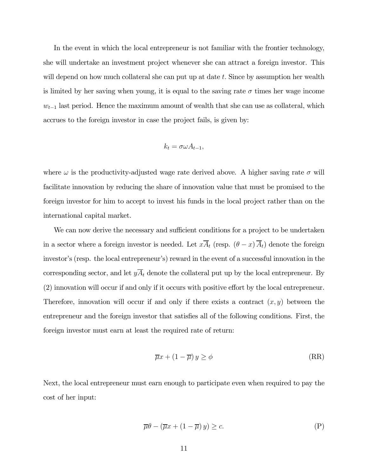In the event in which the local entrepreneur is not familiar with the frontier technology, she will undertake an investment project whenever she can attract a foreign investor. This will depend on how much collateral she can put up at date t. Since by assumption her wealth is limited by her saving when young, it is equal to the saving rate  $\sigma$  times her wage income  $w_{t-1}$  last period. Hence the maximum amount of wealth that she can use as collateral, which accrues to the foreign investor in case the project fails, is given by:

$$
k_t = \sigma \omega A_{t-1},
$$

where  $\omega$  is the productivity-adjusted wage rate derived above. A higher saving rate  $\sigma$  will facilitate innovation by reducing the share of innovation value that must be promised to the foreign investor for him to accept to invest his funds in the local project rather than on the international capital market.

We can now derive the necessary and sufficient conditions for a project to be undertaken in a sector where a foreign investor is needed. Let  $xA_t$  (resp.  $(\theta - x)\overline{A}_t$ ) denote the foreign investor's (resp. the local entrepreneur's) reward in the event of a successful innovation in the corresponding sector, and let  $y\overline{A}_t$  denote the collateral put up by the local entrepreneur. By (2) innovation will occur if and only if it occurs with positive effort by the local entrepreneur. Therefore, innovation will occur if and only if there exists a contract  $(x, y)$  between the entrepreneur and the foreign investor that satisfies all of the following conditions. First, the foreign investor must earn at least the required rate of return:

$$
\overline{\mu}x + (1 - \overline{\mu})y \ge \phi \tag{RR}
$$

Next, the local entrepreneur must earn enough to participate even when required to pay the cost of her input:

$$
\overline{\mu}\theta - (\overline{\mu}x + (1 - \overline{\mu})y) \ge c.
$$
 (P)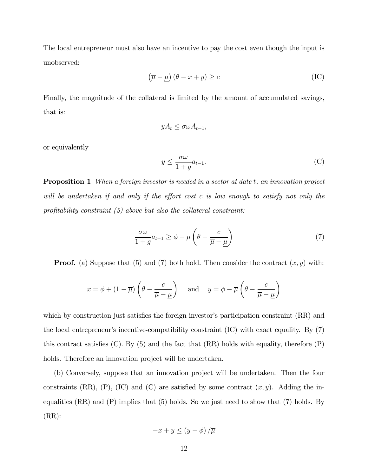The local entrepreneur must also have an incentive to pay the cost even though the input is unobserved:

$$
\left(\overline{\mu} - \underline{\mu}\right)(\theta - x + y) \ge c \tag{IC}
$$

Finally, the magnitude of the collateral is limited by the amount of accumulated savings, that is:

$$
y\overline{A}_t \leq \sigma \omega A_{t-1},
$$

or equivalently

$$
y \le \frac{\sigma \omega}{1 + g} a_{t-1}.\tag{C}
$$

**Proposition 1** When a foreign investor is needed in a sector at date t, an innovation project will be undertaken if and only if the effort cost c is low enough to satisfy not only the profitability constraint  $(5)$  above but also the collateral constraint:

$$
\frac{\sigma\omega}{1+g}a_{t-1} \ge \phi - \overline{\mu}\left(\theta - \frac{c}{\overline{\mu} - \underline{\mu}}\right) \tag{7}
$$

**Proof.** (a) Suppose that (5) and (7) both hold. Then consider the contract  $(x, y)$  with:

$$
x = \phi + (1 - \overline{\mu}) \left( \theta - \frac{c}{\overline{\mu} - \underline{\mu}} \right)
$$
 and  $y = \phi - \overline{\mu} \left( \theta - \frac{c}{\overline{\mu} - \underline{\mu}} \right)$ 

which by construction just satisfies the foreign investor's participation constraint  $(RR)$  and the local entrepreneur's incentive-compatibility constraint (IC) with exact equality. By (7) this contract satisfies  $(C)$ . By  $(5)$  and the fact that  $(RR)$  holds with equality, therefore  $(P)$ holds. Therefore an innovation project will be undertaken.

(b) Conversely, suppose that an innovation project will be undertaken. Then the four constraints (RR), (P), (IC) and (C) are satisfied by some contract  $(x, y)$ . Adding the inequalities  $(RR)$  and  $(P)$  implies that  $(5)$  holds. So we just need to show that  $(7)$  holds. By  $(RR)$ :

$$
-x+y\leq (y-\phi)/\overline{\mu}
$$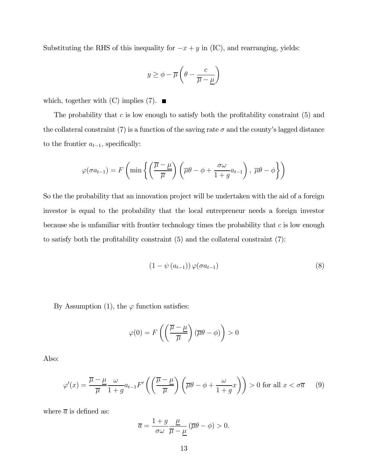Substituting the RHS of this inequality for  $-x + y$  in (IC), and rearranging, yields:

$$
y \ge \phi - \overline{\mu} \left( \theta - \frac{c}{\overline{\mu} - \underline{\mu}} \right)
$$

which, together with  $(C)$  implies  $(7)$ .

The probability that  $c$  is low enough to satisfy both the profitability constraint  $(5)$  and the collateral constraint (7) is a function of the saving rate  $\sigma$  and the county's lagged distance to the frontier  $a_{t-1}$ , specifically:

$$
\varphi(\sigma a_{t-1}) = F\left(\min\left\{\left(\frac{\overline{\mu} - \underline{\mu}}{\overline{\mu}}\right)\left(\overline{\mu}\theta - \phi + \frac{\sigma\omega}{1+g}a_{t-1}\right), \overline{\mu}\theta - \phi\right\}\right)
$$

So the the probability that an innovation project will be undertaken with the aid of a foreign investor is equal to the probability that the local entrepreneur needs a foreign investor because she is unfamiliar with frontier technology times the probability that  $c$  is low enough to satisfy both the profitability constraint (5) and the collateral constraint (7):

$$
(1 - \psi(a_{t-1})) \varphi(\sigma a_{t-1}) \tag{8}
$$

By Assumption (1), the  $\varphi$  function satisfies:

$$
\varphi(0) = F\left(\left(\frac{\overline{\mu} - \underline{\mu}}{\overline{\mu}}\right)(\overline{\mu}\theta - \phi)\right) > 0
$$

Also:

$$
\varphi'(x) = \frac{\overline{\mu} - \underline{\mu}}{\overline{\mu}} \frac{\omega}{1 + g} a_{t-1} F' \left( \left( \frac{\overline{\mu} - \underline{\mu}}{\overline{\mu}} \right) \left( \overline{\mu} \theta - \phi + \frac{\omega}{1 + g} x \right) \right) > 0 \text{ for all } x < \sigma \overline{a} \tag{9}
$$

where  $\bar{a}$  is defined as:

$$
\overline{a} = \frac{1+g}{\sigma\omega} \frac{\underline{\mu}}{\overline{\mu} - \underline{\mu}} (\overline{\mu}\theta - \phi) > 0.
$$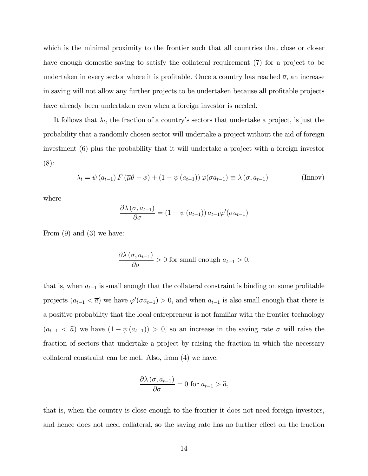which is the minimal proximity to the frontier such that all countries that close or closer have enough domestic saving to satisfy the collateral requirement (7) for a project to be undertaken in every sector where it is profitable. Once a country has reached  $\bar{a}$ , an increase in saving will not allow any further projects to be undertaken because all profitable projects have already been undertaken even when a foreign investor is needed.

It follows that  $\lambda_t$ , the fraction of a country's sectors that undertake a project, is just the probability that a randomly chosen sector will undertake a project without the aid of foreign investment (6) plus the probability that it will undertake a project with a foreign investor (8):

$$
\lambda_t = \psi(a_{t-1}) F(\overline{\mu}\theta - \phi) + (1 - \psi(a_{t-1})) \varphi(\sigma a_{t-1}) \equiv \lambda(\sigma, a_{t-1})
$$
 (Innov)

where

$$
\frac{\partial \lambda (\sigma, a_{t-1})}{\partial \sigma} = (1 - \psi(a_{t-1})) a_{t-1} \varphi'(\sigma a_{t-1})
$$

From  $(9)$  and  $(3)$  we have:

$$
\frac{\partial \lambda(\sigma, a_{t-1})}{\partial \sigma} > 0
$$
 for small enough  $a_{t-1} > 0$ ,

that is, when  $a_{t-1}$  is small enough that the collateral constraint is binding on some profitable projects  $(a_{t-1} < \overline{a})$  we have  $\varphi'(\sigma a_{t-1}) > 0$ , and when  $a_{t-1}$  is also small enough that there is a positive probability that the local entrepreneur is not familiar with the frontier technology  $(a_{t-1} < \hat{a})$  we have  $(1 - \psi(a_{t-1})) > 0$ , so an increase in the saving rate  $\sigma$  will raise the fraction of sectors that undertake a project by raising the fraction in which the necessary collateral constraint can be met. Also, from (4) we have:

$$
\frac{\partial \lambda(\sigma, a_{t-1})}{\partial \sigma} = 0 \text{ for } a_{t-1} > \hat{a},
$$

that is, when the country is close enough to the frontier it does not need foreign investors, and hence does not need collateral, so the saving rate has no further effect on the fraction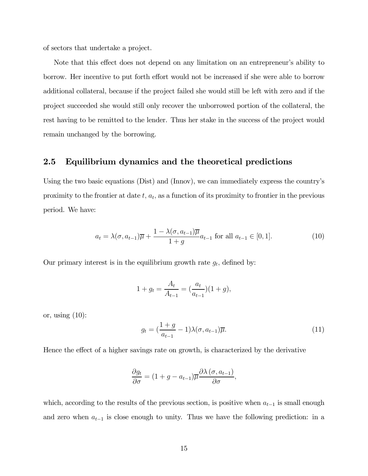of sectors that undertake a project.

Note that this effect does not depend on any limitation on an entrepreneur's ability to borrow. Her incentive to put forth effort would not be increased if she were able to borrow additional collateral, because if the project failed she would still be left with zero and if the project succeeded she would still only recover the unborrowed portion of the collateral, the rest having to be remitted to the lender. Thus her stake in the success of the project would remain unchanged by the borrowing.

#### 2.5 Equilibrium dynamics and the theoretical predictions

Using the two basic equations (Dist) and (Innov), we can immediately express the country's proximity to the frontier at date  $t$ ,  $a_t$ , as a function of its proximity to frontier in the previous period. We have:

$$
a_t = \lambda(\sigma, a_{t-1})\overline{\mu} + \frac{1 - \lambda(\sigma, a_{t-1})\overline{\mu}}{1 + g}a_{t-1} \text{ for all } a_{t-1} \in [0, 1].
$$
 (10)

Our primary interest is in the equilibrium growth rate  $g_t$ , defined by:

$$
1 + g_t = \frac{A_t}{A_{t-1}} = \left(\frac{a_t}{a_{t-1}}\right)(1 + g),
$$

or, using  $(10)$ :

$$
g_t = \left(\frac{1+g}{a_{t-1}} - 1\right) \lambda(\sigma, a_{t-1}) \overline{\mu}.\tag{11}
$$

Hence the effect of a higher savings rate on growth, is characterized by the derivative

$$
\frac{\partial g_t}{\partial \sigma} = (1 + g - a_{t-1}) \overline{\mu} \frac{\partial \lambda (\sigma, a_{t-1})}{\partial \sigma},
$$

which, according to the results of the previous section, is positive when  $a_{t-1}$  is small enough and zero when  $a_{t-1}$  is close enough to unity. Thus we have the following prediction: in a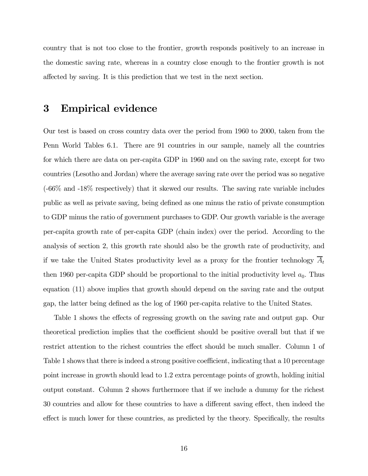country that is not too close to the frontier, growth responds positively to an increase in the domestic saving rate, whereas in a country close enough to the frontier growth is not affected by saving. It is this prediction that we test in the next section.

## 3 Empirical evidence

Our test is based on cross country data over the period from 1960 to 2000, taken from the Penn World Tables 6.1. There are 91 countries in our sample, namely all the countries for which there are data on per-capita GDP in 1960 and on the saving rate, except for two countries (Lesotho and Jordan) where the average saving rate over the period was so negative (-66% and -18% respectively) that it skewed our results. The saving rate variable includes public as well as private saving, being defined as one minus the ratio of private consumption to GDP minus the ratio of government purchases to GDP. Our growth variable is the average per-capita growth rate of per-capita GDP (chain index) over the period. According to the analysis of section 2, this growth rate should also be the growth rate of productivity, and if we take the United States productivity level as a proxy for the frontier technology  $\overline{A}_t$ then 1960 per-capita GDP should be proportional to the initial productivity level  $a_0$ . Thus equation (11) above implies that growth should depend on the saving rate and the output gap, the latter being defined as the log of 1960 per-capita relative to the United States.

Table 1 shows the effects of regressing growth on the saving rate and output gap. Our theoretical prediction implies that the coefficient should be positive overall but that if we restrict attention to the richest countries the effect should be much smaller. Column 1 of Table 1 shows that there is indeed a strong positive coefficient, indicating that a 10 percentage point increase in growth should lead to 1.2 extra percentage points of growth, holding initial output constant. Column 2 shows furthermore that if we include a dummy for the richest 30 countries and allow for these countries to have a different saving effect, then indeed the effect is much lower for these countries, as predicted by the theory. Specifically, the results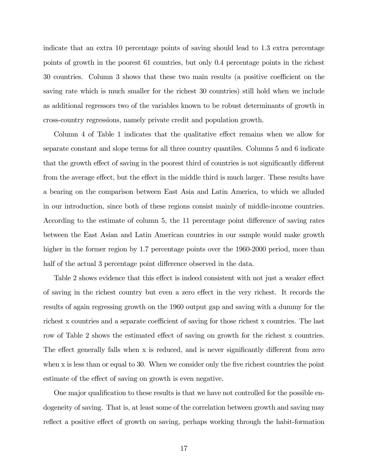indicate that an extra 10 percentage points of saving should lead to 1.3 extra percentage points of growth in the poorest 61 countries, but only 0.4 percentage points in the richest 30 countries. Column 3 shows that these two main results (a positive coefficient on the saving rate which is much smaller for the richest 30 countries) still hold when we include as additional regressors two of the variables known to be robust determinants of growth in cross-country regressions, namely private credit and population growth.

Column 4 of Table 1 indicates that the qualitative effect remains when we allow for separate constant and slope terms for all three country quantiles. Columns 5 and 6 indicate that the growth effect of saving in the poorest third of countries is not significantly different from the average effect, but the effect in the middle third is much larger. These results have a bearing on the comparison between East Asia and Latin America, to which we alluded in our introduction, since both of these regions consist mainly of middle-income countries. According to the estimate of column 5, the 11 percentage point difference of saving rates between the East Asian and Latin American countries in our sample would make growth higher in the former region by 1.7 percentage points over the 1960-2000 period, more than half of the actual 3 percentage point difference observed in the data.

Table 2 shows evidence that this effect is indeed consistent with not just a weaker effect of saving in the richest country but even a zero effect in the very richest. It records the results of again regressing growth on the 1960 output gap and saving with a dummy for the richest x countries and a separate coefficient of saving for those richest x countries. The last row of Table 2 shows the estimated effect of saving on growth for the richest x countries. The effect generally falls when x is reduced, and is never significantly different from zero when x is less than or equal to 30. When we consider only the five richest countries the point estimate of the effect of saving on growth is even negative.

One major qualification to these results is that we have not controlled for the possible endogeneity of saving. That is, at least some of the correlation between growth and saving may reflect a positive effect of growth on saving, perhaps working through the habit-formation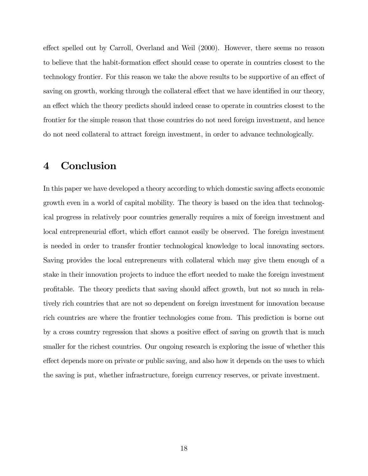effect spelled out by Carroll, Overland and Weil (2000). However, there seems no reason to believe that the habit-formation effect should cease to operate in countries closest to the technology frontier. For this reason we take the above results to be supportive of an effect of saving on growth, working through the collateral effect that we have identified in our theory, an effect which the theory predicts should indeed cease to operate in countries closest to the frontier for the simple reason that those countries do not need foreign investment, and hence do not need collateral to attract foreign investment, in order to advance technologically.

# 4 Conclusion

In this paper we have developed a theory according to which domestic saving affects economic growth even in a world of capital mobility. The theory is based on the idea that technological progress in relatively poor countries generally requires a mix of foreign investment and local entrepreneurial effort, which effort cannot easily be observed. The foreign investment is needed in order to transfer frontier technological knowledge to local innovating sectors. Saving provides the local entrepreneurs with collateral which may give them enough of a stake in their innovation projects to induce the effort needed to make the foreign investment profitable. The theory predicts that saving should affect growth, but not so much in relatively rich countries that are not so dependent on foreign investment for innovation because rich countries are where the frontier technologies come from. This prediction is borne out by a cross country regression that shows a positive effect of saving on growth that is much smaller for the richest countries. Our ongoing research is exploring the issue of whether this effect depends more on private or public saving, and also how it depends on the uses to which the saving is put, whether infrastructure, foreign currency reserves, or private investment.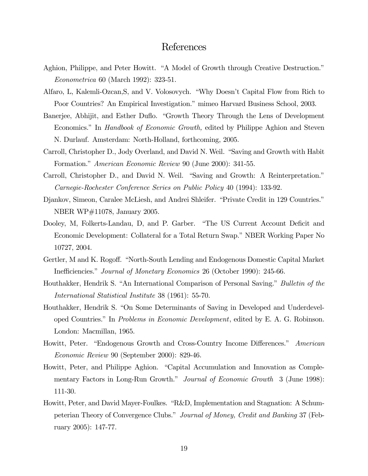## References

- Aghion, Philippe, and Peter Howitt. "A Model of Growth through Creative Destruction." Econometrica 60 (March 1992): 323-51.
- Alfaro, L, Kalemli-Ozcan,S, and V. Volosovych. "Why Doesn't Capital Flow from Rich to Poor Countries? An Empirical Investigation." mimeo Harvard Business School, 2003.
- Banerjee, Abhijit, and Esther Duflo. "Growth Theory Through the Lens of Development Economics." In Handbook of Economic Growth, edited by Philippe Aghion and Steven N. Durlauf. Amsterdam: North-Holland, forthcoming, 2005.
- Carroll, Christopher D., Jody Overland, and David N. Weil. "Saving and Growth with Habit Formation." American Economic Review 90 (June 2000): 341-55.
- Carroll, Christopher D., and David N. Weil. "Saving and Growth: A Reinterpretation." Carnegie-Rochester Conference Series on Public Policy 40 (1994): 133-92.
- Djankov, Simeon, Caralee McLiesh, and Andrei Shleifer. "Private Credit in 129 Countries." NBER WP#11078, January 2005.
- Dooley, M, Folkerts-Landau, D, and P. Garber. "The US Current Account Deficit and Economic Development: Collateral for a Total Return Swap." NBER Working Paper No 10727, 2004.
- Gertler, M and K. Rogoff. "North-South Lending and Endogenous Domestic Capital Market Inefficiencies." Journal of Monetary Economics 26 (October 1990): 245-66.
- Houthakker, Hendrik S. "An International Comparison of Personal Saving." Bulletin of the International Statistical Institute 38 (1961): 55-70.
- Houthakker, Hendrik S. "On Some Determinants of Saving in Developed and Underdeveloped Countries." In Problems in Economic Development, edited by E. A. G. Robinson. London: Macmillan, 1965.
- Howitt, Peter. "Endogenous Growth and Cross-Country Income Differences." American Economic Review 90 (September 2000): 829-46.
- Howitt, Peter, and Philippe Aghion. "Capital Accumulation and Innovation as Complementary Factors in Long-Run Growth." *Journal of Economic Growth* 3 (June 1998): 111-30.
- Howitt, Peter, and David Mayer-Foulkes. "R&D, Implementation and Stagnation: A Schumpeterian Theory of Convergence Clubs." Journal of Money, Credit and Banking 37 (February 2005): 147-77.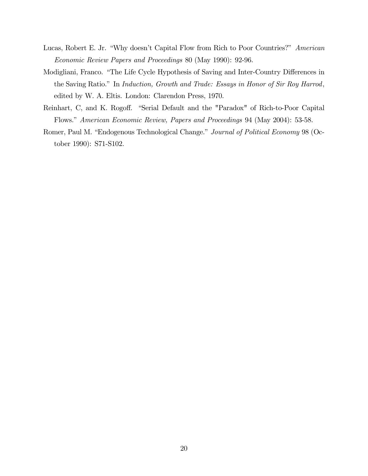- Lucas, Robert E. Jr. "Why doesn't Capital Flow from Rich to Poor Countries?" American Economic Review Papers and Proceedings 80 (May 1990): 92-96.
- Modigliani, Franco. "The Life Cycle Hypothesis of Saving and Inter-Country Differences in the Saving Ratio." In Induction, Growth and Trade: Essays in Honor of Sir Roy Harrod, edited by W. A. Eltis. London: Clarendon Press, 1970.
- Reinhart, C, and K. Rogoff. "Serial Default and the "Paradox" of Rich-to-Poor Capital Flows." American Economic Review, Papers and Proceedings 94 (May 2004): 53-58.
- Romer, Paul M. "Endogenous Technological Change." Journal of Political Economy 98 (October 1990): S71-S102.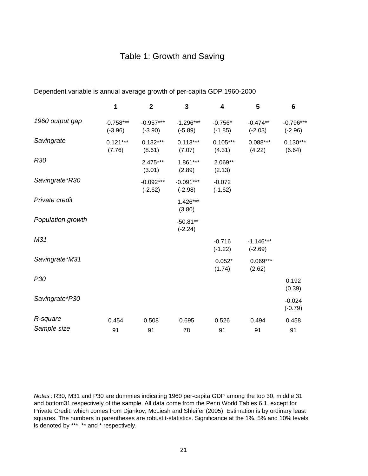## Table 1: Growth and Saving

|                   | 1                        | $\mathbf{2}$             | 3                        | 4                      | 5                        | 6                        |
|-------------------|--------------------------|--------------------------|--------------------------|------------------------|--------------------------|--------------------------|
| 1960 output gap   | $-0.758***$<br>$(-3.96)$ | $-0.957***$<br>$(-3.90)$ | $-1.296***$<br>$(-5.89)$ | $-0.756*$<br>$(-1.85)$ | $-0.474**$<br>$(-2.03)$  | $-0.796***$<br>$(-2.96)$ |
| Savingrate        | $0.121***$<br>(7.76)     | $0.132***$<br>(8.61)     | $0.113***$<br>(7.07)     | $0.105***$<br>(4.31)   | $0.088***$<br>(4.22)     | $0.130***$<br>(6.64)     |
| R30               |                          | $2.475***$<br>(3.01)     | $1.861***$<br>(2.89)     | $2.069**$<br>(2.13)    |                          |                          |
| Savingrate*R30    |                          | $-0.092***$<br>$(-2.62)$ | $-0.091***$<br>$(-2.98)$ | $-0.072$<br>$(-1.62)$  |                          |                          |
| Private credit    |                          |                          | 1.426***<br>(3.80)       |                        |                          |                          |
| Population growth |                          |                          | $-50.81**$<br>$(-2.24)$  |                        |                          |                          |
| M31               |                          |                          |                          | $-0.716$<br>$(-1.22)$  | $-1.146***$<br>$(-2.69)$ |                          |
| Savingrate*M31    |                          |                          |                          | $0.052*$<br>(1.74)     | $0.069***$<br>(2.62)     |                          |
| P <sub>30</sub>   |                          |                          |                          |                        |                          | 0.192<br>(0.39)          |
| Savingrate*P30    |                          |                          |                          |                        |                          | $-0.024$<br>$(-0.79)$    |
| R-square          | 0.454                    | 0.508                    | 0.695                    | 0.526                  | 0.494                    | 0.458                    |
| Sample size       | 91                       | 91                       | 78                       | 91                     | 91                       | 91                       |

Dependent variable is annual average growth of per-capita GDP 1960-2000

*Notes* : R30, M31 and P30 are dummies indicating 1960 per-capita GDP among the top 30, middle 31 and bottom31 respectively of the sample. All data come from the Penn World Tables 6.1, except for Private Credit, which comes from Djankov, McLiesh and Shleifer (2005). Estimation is by ordinary least squares. The numbers in parentheses are robust t-statistics. Significance at the 1%, 5% and 10% levels is denoted by \*\*\*, \*\* and \* respectively.